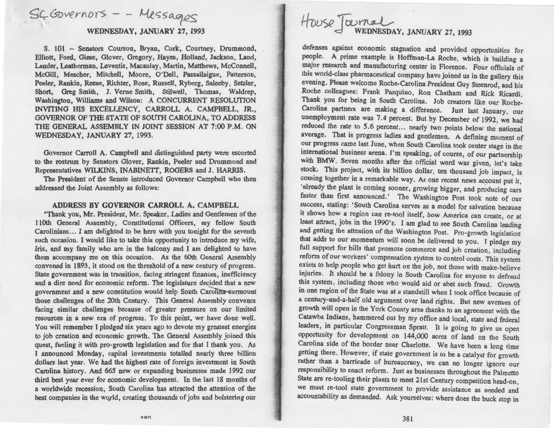## $SC$ Governors --

### WEDNESDAY, JANUARY 27, 1993

S. 101 -- Senators Courson, Bryan, Cork, Courtney, Drummond, Elliott, Ford, Giese, Glover, Gregory, Hayes, Holland, Jackson, Land, Lander, Leatherman, Leventis, Macaulay, Martin, Matthews, McConnell, McGill, Mescher, Mitchell, Moore, O'Dell, Passailaigue, Patterson, Peeler, Rankin, Reese, Richter, Rose, Russell, Ryberg, Saleeby, Setzler, Short, Greg Smith, J. Verne Smith, Stilwell, Thomas, Waldrep, Washington, Williams and Wilson: A CONCURRENT RESOLUTION INVITING HIS EXCELLENCY, CARROLL A. CAMPBELL, JR., GOVERNOR OF THE STATE OF SOUTH CAROLINA, TO ADDRESS THE GENERAL ASSEMBLY IN JOINT SESSION AT 7:00 P.M. ON WEDNESDAY, JANUARY 27, 1993.

Governor Carroll A. Campbell and distinguished party were escorted to the rostrum by Senators Glover, Rankin, Peeler and Drummond and Representatives WILKINS, INABINETT, ROGERS and J. HARRIS.

The President of the Senate introduced Governor Campbell who then addressed the Joint Assembly as follows:

#### ADDRESS BY GOVERNOR CARROLL A. CAMPBELL

"Thank you, Mr. President, Mr. Speaker, Ladies and Gentlemen of the llOth General Assembly, Constitutional Officers, my fellow South Carolinians ... I am delighted to be here with you tonight for the seventh such occasion. I would like to take this opportunity to introduce my wife, Iris, and my family who are in the balcony and I am delighted to have them accompany me on this occasion. As the 60th General Assembly convened in 1893, it stood on the threshold of a new century of progress. State government was in transition, facing stringent finances, inefficiency and a dire need for economic reform. The legislature decided that a new government and a new constitution would help South Carolina-surmount those challenges of the 20th Century. This General Assembly convenes facing similar challenges because of greater pressure on our limited resources in a new era of progress. To this point, we have done well. You will remember I pledged six years ago to devote my greatest energies to job creation and economic growth. The General Assembly joined this quest, fueling it with pro-growth legislation and for that I thank you. As I announced Monday, capital investments totalled nearly three billion dollars last year. We had the highest rate of foreign investment in South Carolina history. And 665 new or expanding businesses made 1992 our third best year ever for economic development. In the last 18 months of a worldwide recession, South Carolina has attracted the attention of the best companies in the world, creating thousands of jobs and bolstering our

# HOUSE Journal<br>WEDNESDAY, JANUARY 27, 1993

defenses against economic stagnation and provided opportunities for people. A prime example is Hoffman-La Roche, which is building a major research and manufacturing center in Florence. Four officials of this world-class pharmaceutical company have joined us in the gallery this evening. Please welcome Roche-Carolina President Guy Steenrod, and his Roche colleagues: Frank Pasquino, Ron Chatham and Rick Ricardi. Thank you for being in South Carolina. Job creators like our Roche-Carolina partners are making a difference. Just last January, our unemployment rate was 7.4 percent. But by December of 1992, we had reduced the rate to 5.6 percent... nearly two points below the national average. That is progress ladies and gentlemen. A defining moment of our progress came last June, when South Carolina took center stage in the international business arena. I'm speaking, of course, of our partnership with BMW. Seven months after the official word was given, let's take stock. This project, with its billion dollar, ten thousand job impact, is coming together in a remarkable way. As one recent news account put it, 'already the plant is coming sooner, growing bigger, and producing cars faster than first announced.' The Washington Post took note of our success, stating: 'South Carolina serves as a model for salvation because it shows how a region can re-tool itself, how America can create, or at least attract, jobs in the 1990's. I am glad to see South Carolina leading and getting the attention of the Washington Post. Pro-growth legislation that adds to our momentum will soon be delivered to you. I pledge my full support for bills that promote commerce and job creation, including reform of our workers' compensation system to control costs. This system exists to help people who get hurt on the job, not those with make-believe injuries. It should be a felony in South Carolina for anyone to defraud this system, including those who would aid or abet such fraud. Growth in one region of the State was at a standstill when I took office because of a century-and-a-half old argument over land rights. But new avenues of growth will open in the York County area thanks to an agreement with the Catawba Indians, hammered out by my office and local, state and federal leaders, in particular Congressman Spratt. It is going to give us open opportunity for development on 144,000 acres of land on the South Carolina side of the border near Charlotte. We have been a long time getting there. However, if state government is to be a catalyst for growth rather than a barricade of bureaucracy, we can no longer ignore our responsibility to enact reform. Just as businesses throughout the Palmetto State are re-tooling their plants to meet 21st Century competition head-on, we must re-tool state government to provide assistance as needed and accountability as demanded. Ask yourselves: where does the buck stop in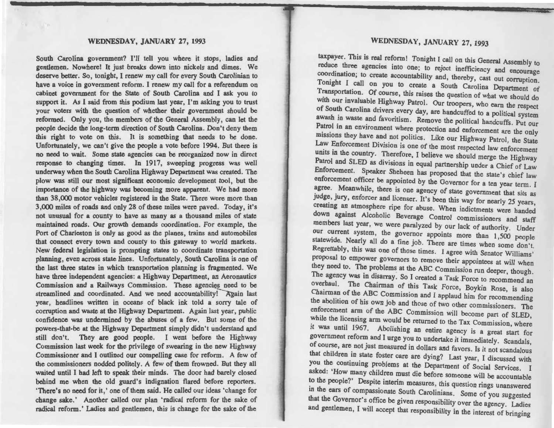South Carolina government? I'll tell you where it stops, ladies and gentlemen. Nowhere! It just breaks down into nickels and dimes. We deserve better. So, tonight, I renew my call for every South Carolinian to have a voice in government reform. I renew my call for a referendum on cabinet government for the State of South Carolina and I ask you to support it. As I said from this podium last year, I'm asking you to trust your voters with the question of whether their government should be reformed. Only you, the members of the General Assembly, can let the people decide the long-term direction of South Carolina. Don't deny them this right to vote on this. It is something that needs to be done. Unfortunately, we can't give the people a vote before 1994. But there is no need to wait. Some state agencies can be reorganized now in direct response to changing times. In 1917, sweeping progress was well underway when the South Carolina Highway Department was created. The plow was still our most significant economic development tool, but the importance of the highway was becoming more apparent. We had more than 38,000 motor vehicles registered in the State. There were more than 3,000 miles of roads and only 28 of these miles were paved. Today, it's not unusual for a county to have as many as a thousand miles of state maintained roads. Our growth demands coordination. For example, the Port of Charleston is only as good as the planes, trains and automobiles that connect every town and county to this gateway to world markets. New federal legislation is prompting states to coordinate transportation planning, even across state lines. Unfortunately, South Carolina is one of the last three states in which transportation planning is fragmented. We have three independent agencies: a Highway Department, an Aeronautics Commission and a Railways Commission. These agencies need to be streamlined and coordinated. And we need accountability! Again last year, headlines written in oceans of black ink told a sorry tale of corruption and waste at the Highway Department. Again last year, public confidence was undermined by the abuses of a few. But some of the powers-that-be at the Highway Department simply didn't understand and still don't. They are good people. I went before the Highway Commission last week for the privilege of swearing in the new Highway Commissioner and I outlined our compelling case for reform. A few of the commissioners nodded politely. A few of them frowned. But they all waited until I had left to speak their minds. The door bad barely closed behind me when the old guard's indignation flared before reporters. 'There's no need for it,' one of them said. He called our ideas 'change for change sake.' Another called our plan 'radical reform for the sake of radical reform.' Ladies and gentlemen, this is change for the sake of the

#### WEDNESDAY, JANUARY 27, 1993

taxpayer. This is real reform! Tonight I call on this General Assembly to reduce three agencies into one; to reject inefficiency and encourage coordination; to create accountability and, thereby, cast out corruption. Tonight I call on you to create a South Carolina Department of Transportation. Of course, this raises the question of what we should do with our invaluable Highway Patrol. Our troopers, who earn the respect of South Carolina drivers every day, are handcuffed to a political system awash in waste and favoritism. Remove the political handcuffs. Put our Patrol in an environment where protection and enforcement are the only missions they have and not politics. Like our Highway Patrol, the State Law Enforcement Division is one of the most respected law enforcement units in the country. Therefore, I believe we should merge the Highway Patrol and SLED as divisions in equal partnership under a Chief of Law Enforcement. Speaker Sheheen has proposed that the state's chief law enforcement officer be appointed by the Governor for a ten year term. I agree. Meanwhile, there is one agency of state government that sits as judge, jury, enforcer and licenser. It's been this way for nearly 25 years, creating an atmosphere ripe for abuse. When indictments were handed down against Alcoholic Beverage Control commissioners and staff members last year, we were paralyzed by our lack of authority. Under our current system, the governor appoints more than 1,500 people statewide. Nearly all do a fine job. There are times when some don't. Regrettably, this was one of those times. I agree with Senator Williams' proposal to empower governors to remove their appointees at will when they need to. The problems at the ABC Commission run deeper, though. The agency was in disarray. So I created a Task Force to recommend an overhaul. The Chairman of this Task Force, Boykin Rose, is also Chairman of the ABC Commission and I applaud him for recommending the abolition of his own job and those of two other commissioners. The enforcement arm of the ABC Commission will become part of SLED, while the licensing arm would be returned to the Tax Commission, where it was until 1967. Abolishing an entire agency is a great start for government reform and I urge you to undertake it immediately. Scandals, of course, are not just measured in dollars and favors. Is it not scandalous that children in state foster care are dying? Last year, I discussed with you the continuing problems at the Department of Social Services. I asked: 'How many children must die before someone will be accountable to the people?' Despite interim measures, this question rings unanswered in the ears of compassionate South Carolinians. Some of you suggested that the Governor's office be given responsibility over the agency. Ladies and gentlemen, I will accept that responsibility in the interest of bringing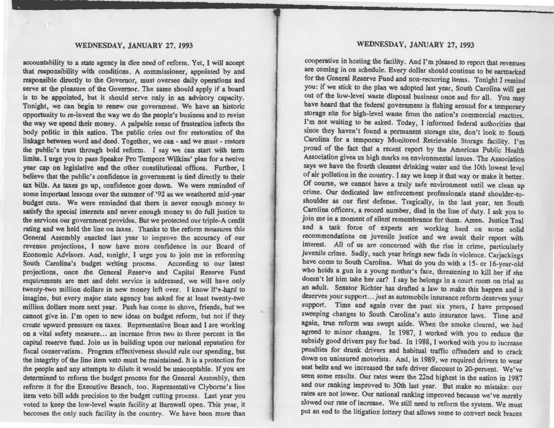**STATE STATE** 

accountability to a state agency in dire need of reform. Yet, I will accept that responsibility with conditions. A commissioner, appointed by and responsible directly to the Governor, must oversee daily operations and serve at the pleasure of the Governor. The same should apply if a board is to be appointed, but it should serve only in an advisory capacity. Tonight, we can begin to renew our government. We have an historic opportunity to re-invent the way we do the people's business and to revise the way we spend their money. A palpable sense of frustration infects the body politic in this nation. The public cries out for restoration of the linkage between word and deed. Together, we can- and we must- restore the public's trust through bold reform. I say we can start with term limits. I urge you to pass Speaker Pro Tempore Wilkins' plan for a twelve year cap on legislative and the other constitutional offices. Further, I believe that the public's confidence in government is tied directly to their tax bills. As taxes go up, confidence goes down. We were reminded of some important lessons over the summer of '92 as we weathered mid-year budget cuts. We were reminded that there is never enough money to satisfy the special interests and never enough money to do full justice to the services our government provides. But we protected our triple-A credit rating and we held the line on taxes. Thanks to the reform measures this General Assembly enacted last year to improve the accuracy of our revenue projections, I now have more confidence in our Board of Economic Advisors. And, tonight, I urge you to join me in reforming South Carolina's budget writing process. According to our latest projections, once the General Reserve and Capital Reserve Fund requirements are met and debt service is addressed, we will have only twenty-two million dollars in new money left over. I know it's-hard to imagine, but every major state agency has asked for at least twenty-two million dollars more next year. Push has come to shove, friends, but we cannot give in. I'm open to new ideas on budget reform, but not if they create upward pressure on taxes. Representative Boan and I are working on a vital safety measure... an increase from two to three percent in the capital reserve fund. Join us in building upon our national reputation for fiscal conservatism. Program effectiveness should rule our spending, but the integrity of the line item veto must be maintained. It is a protection for the people and any attempts to dilute it would be unacceptable. If you are determined to reform the budget process for the General Assembly, then reform it for the Executive Branch, too. Representative Clyborne's line item veto bill adds precision to the budget cutting process. Last year you voted to keep the low-level waste facility at Barnwell open. This year, it becomes the only such facility in the country. We have been more than

/·

#### WEDNESDAY, JANUARY 27, 1993

cooperative in hosting the facility. And I'm pleased to report that revenues are coming in on schedule. Every dollar should continue to be earmarked for the General Reserve Fund and non-recurring items. Tonight I remind you: if we stick to the plan we adopted last year, South Carolina will get out of the low-level waste disposal business once and for all. You may have heard that the federal government is fishing around for a temporary storage site for high-level waste from the nation's commercial reactors. I'm not waiting to be asked. Today, I informed federal authorities that since they haven't found a permanent storage site, don't look to South Carolina for a temporary Monitored Retrievable Storage facility. I'm proud of the fact that a recent report by the American Public Health Association gives us high marks on environmental issues. The Association says we have the fourth cleanest drinking water and the 10th lowest level of air pollution in the country. I say we keep it that way or make it better. Of course, we cannot have a truly safe environment until we clean up crime. Our dedicated law enforcement professionals stand shoulder-toshoulder as our first defense. Tragically, in the last year, ten South Carolina officers, a record number, died in the line of duty. I ask you to join me in a moment of silent remembrance for them. Amen. Justice Toal and a task force of experts are working hard on some solid recommendations on juvenile justice and we await their report with interest. All of us are concerned with the rise in crime, particularly juvenile crime. Sadly, each year brings new fads in violence. Carjackings have come to South Carolina. What do you do with a 15- or 16-year-old who holds a gun in a young mother's face, threatening to kill her if she doesn't let him take her car? I say he belongs in a court room on trial as an adult. Senator Richter has drafted a law to make this happen and it deserves your support ... just as automobile insurance reform deserves your support. Time and again over the past six years, I have proposed sweeping changes to South Carolina's auto insurance laws. Time and again, true reform was swept aside. When the smoke cleared, we had agreed to minor changes. In 1987, I worked with you to reduce the subsidy good drivers pay for bad. In 1988, I worked with you to increase penalties for drunk drivers and habitual traffic offenders and to crack down on uninsured motorists. And, in 1989, we required drivers to wear seat belts and we increased the safe driver discount to 20-percent. We've seen some results. Our rates were the 22nd highest in the nation in 1987 and our ranking improved to 30th last year. But make no mistake: our rates are not lower. Our national ranking improved because we've merely slowed our rate of increase. We still need to reform the system. We must put an end to the litigation lottery that allows some to convert neck braces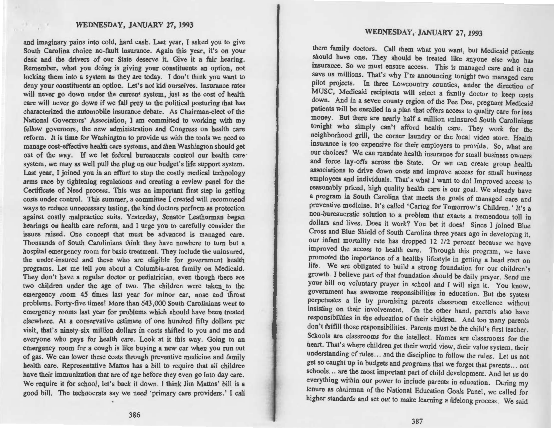and imaginary pains into cold, hard cash. Last year, I asked you to give South Carolina choice no-fault insurance. Again this year, it's on your desk and the drivers of our State deserve it. Give it a fair hearing. Remember, what you doing is giving your constituents an option, not locking them into a system as they are today. I don't think you want to deny your constituents an option. Let's not kid ourselves. Insurance rates will never go down under the current system, just as the cost of health care will never go down if we fall prey to the political posturing that has characterized the automobile insurance debate. As Chairman-elect of the National Governors' Association, I am committed to working with my fellow governors, the new administration and Congress on health care reform. It is time for Washington to provide us with the tools we need to manage cost-effective health care systems, and then Washington should get out of the way. If we let federal bureaucrats control our health care system, we may as well pull the plug on our budget's life support system. Last year, I joined you in an effort to stop the costly medical technology arms race by tightening regulations and creating a review panel for the Certificate of Need process. This was an important first step in getting costs under control. This summer, a committee I created will recommend ways to reduce unnecessary testing, the kind doctors perform as protection against costly malpractice suits. Yesterday, Senator Leatherman began hearings on health care reform, and I urge you to carefully consider the issues raised. One concept that must be advanced is managed care. Thousands of South Carolinians think they have nowhere to turn but a hospital emergency room for basic treatment. They include the uninsured, the under-insured and those who are eligible for government health programs. Let me tell you about a Columbia-area family on Medicaid. They don't have a regular doctor or pediatrician, even though there are two children under the age of two. The children were taken to the emergency room 45 times last year for minor ear, nose and throat problems. Forty-five times! More than 643,000 South Carolinians went to emergency rooms last year for problems which should have been treated elsewhere. At a conservative estimate of one hundred fifty dollars per visit, that's ninety-six million dollars in costs shifted to you and me and everyone who pays for health care. Look at it this way. Going to an emergency room for a cough is like buying a new car when you run out of gas. We can lower these costs through preventive medicine and family health care. Representative Mattos has a bill to require that all children have their immunization that are of age before they even go into day care. We require it for school, let's back it down. I think Jim Mattos' bill is a good bill. The technocrats say we need 'primary care providers.' I call

#### WEDNESDAY, JANUARY 27, 1993

them family doctors. Call them what you want, but Medicaid patients should have one. They should be treated like anyone else who has insurance. So we must ensure access. This is managed care and it can save us millions. That's why I'm announcing tonight two managed care pilot projects. In three Lowcountry counties, under the direction of MUSC, Medicaid recipients will select a family doctor to keep costs down. And in a seven county region of the Pee Dee, pregnant Medicaid patients will be enrolled in a plan that offers access to quality care for less money. But there are nearly half a million uninsured South Carolinians tonight who simply can't afford health care. They work for the neighborhood grill, the corner laundry or the local video store. Health insurance is too expensive for their employers to provide. So, what are our choices? We can mandate health insurance for small business owners and force lay-offs across the State. Or we can create group health associations to drive down costs and improve access for small business employees and individuals. That's what I want to do! Improved access to reasonably priced, high quality health care is our goal. We already have a program in South Carolina that meets the goals of managed care and preventive medicine. It's called 'Caring for Tomorrow's Children.' It's a non-bureaucratic solution to a problem that exacts a tremendous toll in dollars and lives. Does it work? You bet it does! Since I joined Blue Cross and Blue Shield of South Carolina three years ago in developing it, our infant mortality rate has dropped 12 1/2 percent because we have improved the access to health care. Through this program, we have promoted the importance of a healthy lifestyle in getting a head start on life. We are obligated to build a strong foundation for our children's growth. I believe part of that foundation should be daily prayer. Send me your bill on voluntary prayer in school and I will sign it. You know, government has awesome responsibilities in education. But the system perpetuates a lie by promising parents classroom excellence without insisting on their involvement. On the other hand, parents also have responsibilities in the education of their children. And too many parents don't fulfill those responsibilities. Parents must be the child's first teacher. Schools are classrooms for the intellect. Homes are classrooms for the heart. That's where children get their world view, their value system, their understanding of rules... and the discipline to follow the rules. Let us not get so caught up in budgets and programs that we forget that parents ... not schools ... are the most important part of child development. And let us do everything within our power to include parents in education. During my tenure as chairman of the National Education Goals Panel, we called for higher standards and set out to make learning a lifelong process. We said

386